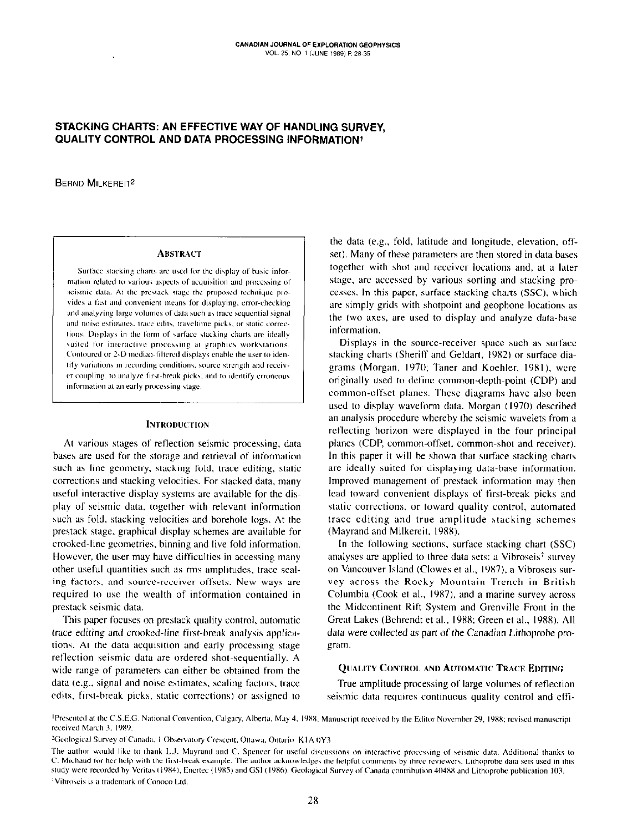# STACKING CHARTS: AN EFFECTIVE WAY OF HANDLING SURVEY. **QUALITY CONTROL AND DATA PROCESSING INFORMATION!**

**BERND MILKEREIT<sup>2</sup>** 

### **ABSTRACT**

Surface stacking charts are used for the display of basic information related to various aspects of acquisition and processing of seismic data. At the prestack stage the proposed technique provides a fast and convenient means for displaying, error-checking and analyzing large volumes of data such as trace sequential signal and noise estimates, trace edits, traveltime picks, or static corrections. Displays in the form of surface stacking charts are ideally suited for interactive processing at graphics workstations. Contoured or 2-D median-filtered displays enable the user to identify variations in recording conditions, source strength and receiver coupling, to analyze first-break picks, and to identify erroneous information at an early processing stage.

### **INTRODUCTION**

At various stages of reflection seismic processing, data bases are used for the storage and retrieval of information such as line geometry, stacking fold, trace editing, static corrections and stacking velocities. For stacked data, many useful interactive display systems are available for the display of seismic data, together with relevant information such as fold, stacking velocities and borehole logs. At the prestack stage, graphical display schemes are available for crooked-line geometries, binning and live fold information. However, the user may have difficulties in accessing many other useful quantities such as rms amplitudes, trace scaling factors, and source-receiver offsets. New ways are required to use the wealth of information contained in prestack seismic data.

This paper focuses on prestack quality control, automatic trace editing and crooked-line first-break analysis applications. At the data acquisition and early processing stage reflection seismic data are ordered shot-sequentially. A wide range of parameters can either be obtained from the data (e.g., signal and noise estimates, scaling factors, trace edits, first-break picks, static corrections) or assigned to

the data (e.g., fold, latitude and longitude, elevation, offset). Many of these parameters are then stored in data bases together with shot and receiver locations and, at a later stage, are accessed by various sorting and stacking processes. In this paper, surface stacking charts (SSC), which are simply grids with shotpoint and geophone locations as the two axes, are used to display and analyze data-base information.

Displays in the source-receiver space such as surface stacking charts (Sheriff and Geldart, 1982) or surface diagrams (Morgan, 1970; Taner and Koehler, 1981), were originally used to define common-depth-point (CDP) and common-offset planes. These diagrams have also been used to display waveform data. Morgan (1970) described an analysis procedure whereby the seismic wavelets from a reflecting horizon were displayed in the four principal planes (CDP, common-offset, common-shot and receiver). In this paper it will be shown that surface stacking charts are ideally suited for displaying data-base information. Improved management of prestack information may then lead toward convenient displays of first-break picks and static corrections, or toward quality control, automated trace editing and true amplitude stacking schemes (Mayrand and Milkereit, 1988).

In the following sections, surface stacking chart (SSC) analyses are applied to three data sets: a Vibroseis<sup>†</sup> survey on Vancouver Island (Clowes et al., 1987), a Vibroseis survey across the Rocky Mountain Trench in British Columbia (Cook et al., 1987), and a marine survey across the Midcontinent Rift System and Grenville Front in the Great Lakes (Behrendt et al., 1988; Green et al., 1988). All data were collected as part of the Canadian Lithoprobe program.

### QUALITY CONTROL AND AUTOMATIC TRACE EDITING

True amplitude processing of large volumes of reflection seismic data requires continuous quality control and effi-

<sup>&</sup>lt;sup>1</sup>Presented at the C.S.E.G. National Convention, Calgary, Alberta, May 4, 1988. Manuscript received by the Editor November 29, 1988; revised manuscript received March 3, 1989.

<sup>&</sup>lt;sup>2</sup>Geological Survey of Canada, 1 Observatory Crescent, Ottawa, Ontario K1A 0Y3

The author would like to thank L.J. Mayrand and C. Spencer for useful discussions on interactive processing of seismic data. Additional thanks to C. Michaud for her help with the first-break example. The author acknowledges the helpful comments by three reviewers. Lithoprobe data sets used in this study were recorded by Veritas (1984), Enertec (1985) and GSI (1986). Geological Survey of Canada contribution 40488 and Lithoprobe publication 103. <sup>1</sup>Vibroseis is a trademark of Conoco Ltd.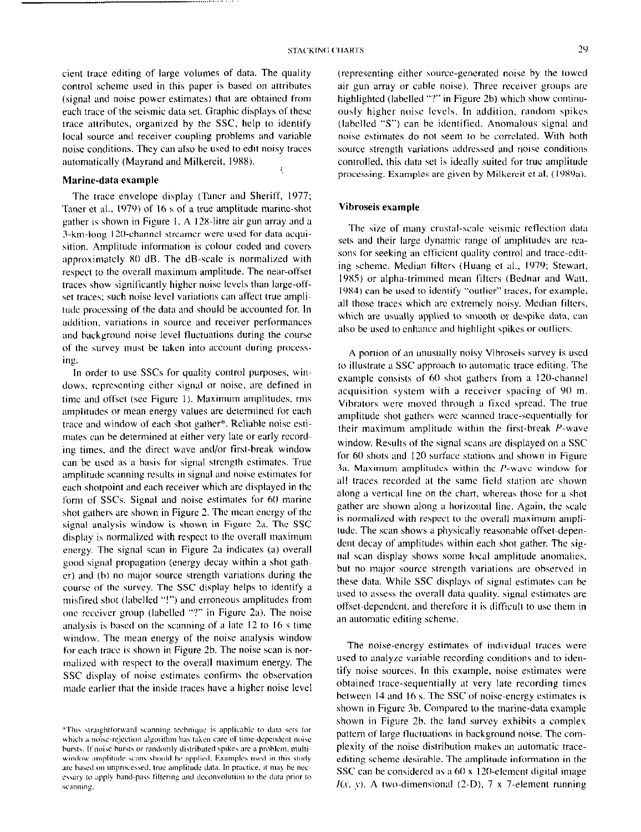cient trace editing of large volumes of data. The quality control scheme used in this paper is based on attributes (signal and noise power estimates) that are obtained from each trace of the seismic data set. Graphic displays of these trace attributes, organized by the SSC, help to identify local source and receiver coupling problems and variable noise conditions. They can also be used to edit noisy traces automatically (Mayrand and Milkereit, 1988).

,,,,,,,,,,,,,,,,,, ,,,,,,,, ,,,,

## Marine-data example

The trace envelope display (Taner and Sheriff, 1977; Taner et al., 1979) of 16 s of a true amplitude marine-shot gather is shown in Figure I. A 12%litre air gun array and a 3-km-long 120-channel streamer were used for data acquisition. Amplitude information is colour coded and covers approximately X0 dB. The dB-scale is normnlized with respect to the overall maximum amplitude. The near-offset traces show significantly higher noise lcvcls than large-offset traces: such noise level variations can affect true amplitude processing of the data and should be accounted for. In addition. variations in source and receiver performances and background noise level fluctuations during the course of the survey must be taken into account during proccss ing.

In order to use SSCs for quality control purposes, windews. representing either signal or noise. are defined in time and offset (see Figure I). Maximum amplitudes, rms amplitudes or mean energy valves are determined for each trace and window of each shot gather\*. Reliable noise estimates can be determined at either very late or early recording times, and the direct wave and/or first-break window can he used as a basis for signal strength estimates. True amplitude scanning results in signal and noise estimates for each shotpoint and each receiver which are displayed in the form of SSCs. Signal and noise estimates for 60 marine shot gathers are shown in Figure 2. The mean energy of the signal analysis window is shown in Figure 2a. The SSC display is normalized with respect to the overall maximum energy. The signal scan in Figure 2a indicates (a) overall good signal propagation (energy decay within a shot gather) and (b) no major source strength variations during the course of the survey. The SSC display helps to identify a misfired shot (labelled "!") and erroneous amplitudes from one receiver group (labelled "?" in Figure 2a). The noise analysis is based on the scanning of a late  $12$  to  $16$  s time window. The mean energy of the noise analysis window for each trace is shown in Figure 2h. The noise scan is normalized with respect to the overall maximum energy. The SSC display of noise estimates confirms the observation made earlier that the inside traces have a higher noise level

(representing either source-generated noise hy the towed air gun array or cable noise). Three receiver groups are highlighted (labelled "?" in Figure 2b) which show continuously higher noise Icvcls. In addition, random spikes (labelled "S") can he identified. Anomalous signal and noise estimates do not seem to be correlated. With both source strength variations addressed and noise conditions controlled, this data set is ideally suited for true amplitude processing. Examples are given by Milkereit et al. (1989a).

### Vibroseis example

The size of many crustal-scale seismic reflection data sets and their large dynamic range of amplitudes arc rcasons for seeking an efficient quality control and trace-cditing scheme. Median filters (Huang et al., 1979; Stewart, 1985) or alpha-trimmed mean filters (Bednar and Watt, 19X4) can be used to identify "outlier" traces. for example, all those traces which are extremely noisy. Median filters, which are usually applied to smooth or despike data, can also be used to enhance and highlight spikes or outliers.

A portion of an unusually noisy Vibroseis survey is used to illustrate a SSC approach to automatic trace editing. 'The example consists of 60 shot gathers from a 120-channel acquisition system with a receiver spacing of 90 m. Vibrators were moved through a fixed spread. The true amplitude shot gathers were scanned trace-sequentially for their maximum amplitude within the first-break  $P$ -wave window. Results of the signal scans are displayed on a SSC for 60 shots and I20 surface stations and shown in Figure 3a. Maximum amplitudes within the  $P$ -wave window for all traces recorded at the same field station are shown along a vertical line on the chart, whereas those for a shot gather are shown along a horizontal line. Again, the scale is normalized with respect to the overall maximum amplitude. The scan shows a physically reasonahlc offset-dependent decay of amplitudes within each shot gather. The signal scan display shows some local amplitude anomalies, but no major source strength variations are observed in these data. While SSC displays of signal estimates can be used to assess the overall data quality. signal estimates are offset-dependent. and therefore it is difficult to use them in an automatic editing scheme.

The noise-energy estimates of individual traces were used to analyze variable recording conditions and to identify noise sources. In this example, noise estimates were obtained trace-sequentially at very late recording times between I4 and I6 s. The SSC of noise-energy estimates is shown in Figure 3b. Compared to the marine-data example shown in Figure 2h. the land survey exhibits a complex pattern of large fluctuations in background noise. The complexity of the noise distribution makes an automatic traceediting scheme desirable. The amplitude information in the SSC can be considered as a  $60 \times 120$ -element digital image  $I(x, y)$ . A two-dimensional (2-D), 7 x 7-element running

<sup>\*</sup>This straightforward scanning technique is applicable to data sets for which a noise-rejection algorithm has taken care of time-dependent noise bursts. If noise bursts or randomly distributed spikes are a problem, multiwindow amplitude scans should be applied. Examples used in this study are based on unprocessed, true amplitude data. In practice, it may be necessary to apply band-pass filtering and deconvolution to the data prior to scanning.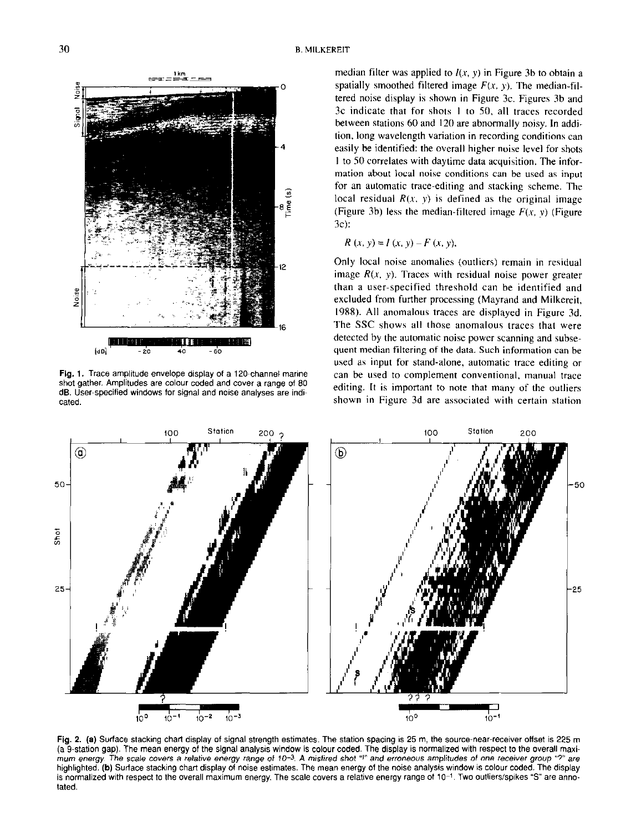

Fig. 1. Trace amplitude envelope display of a 120.channel marine shot gather. Amplitudes are colour coded and cover a range of 80 dB. User-specified windows for signal and noise analyses are indicated.

median filter was applied to  $I(x, y)$  in Figure 3b to obtain a spatially smoothed filtered image  $F(x, y)$ . The median-filtered noise display is shown in Figure 3c. Figures 3b and 3c indicate that for shots I to SO, all traces recorded between stations 60 and 120 are abnormally noisy. In addition. long wavelength variation in recording conditions can easily be identified: the overall higher noise level for shots I to SO correlates with daytime data acquisition. The information about local noise conditions can be used as input for an automatic trace-editing and stacking scheme. The local residual  $R(x, y)$  is defined as the original image (Figure 3b) less the median-filtered image  $F(x, y)$  (Figure 3c):

$$
R(x, y) = I(x, y) - F(x, y).
$$

Only local noise anomalies (outliers) remain in residual image  $R(x, y)$ . Traces with residual noise power greater than a user-specified threshold can be identified and excluded from further processing (Mayrand and Milkereit, 1988). All anomalous traces are displayed in Figure 3d. The SSC shows all those anomalous traces that were detected by the automatic noise power scanning and subsequent median filtering of the data. Such information can be used as input for stand-alone, automatic trace editing or can be used to complement conventional. manual trace editing. It is important to note that many of the outliers shown in Figure 3d are associated with certain station



Fig. 2. (a) Surface stacking chart display of signal strength estimates. The station spacing is 25 m, the source-near-receiver ottset is 225 m (a 9.station gap). The mean energy of the signal analysis window is colwr coded. The display is normalized with respect to the overall maximum energy. The scale covers a relative energy range of 10-3. A misfired shot "!" and erroneous amplitudes of one receiver group "?" are highlighted. (b) Suriace stacking chart display of noise estimates. The mean energy of the noise analysis window is colour coded. The display is normalized with respect to the overall maximum energy. The scale covers a relative energy range of 10-1. Two outliers/spikes "S" are annotated.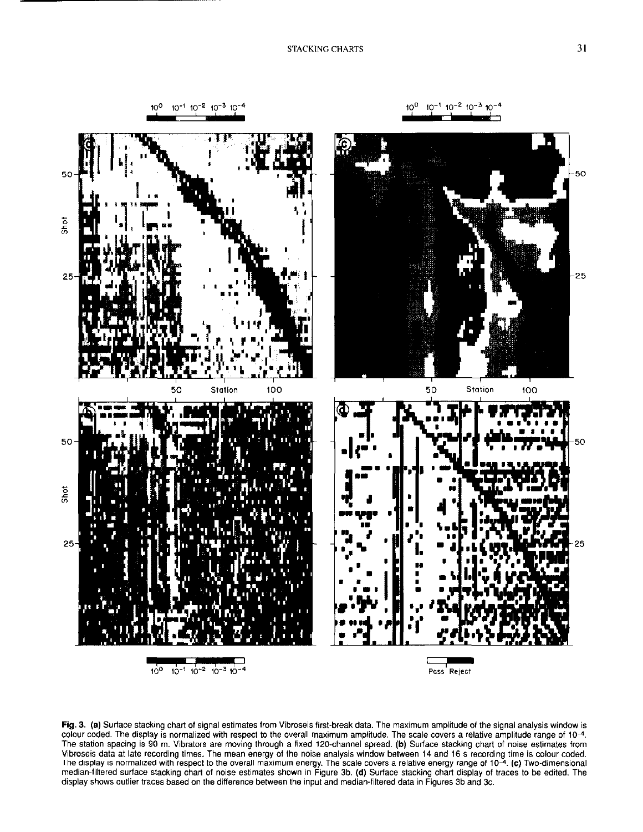





Fig. 3. (a) Surface stacking chart of signal estimates from Vibroseis first-break data. The maximum amplitude of the signal analysis window is colour coded. The display is normalized with respect to the overall maximum amplitude. The scale covers a relative amplitude range of 104. The station spacing is 90 m. Vibrators are moving through a fixed 120.channel spread. (b) Surface stacking chart of noise estimates from Vibroseis data at late recording times. The mean energy of the noise analysis window between 14 and 16 s recording time is colour coded. The display is normalized with respect to the overall maximum energy. The scale covers a relative energy range of  $10^{-4}$ . (c) Two-dimension median-filtered surface stacking chart of noise estimates shown in Figure 3b. (d) Surface stacking chart display of traces to be edited. The display shows outlier traces based on the difference between the input and median-filtered data in Figures 3b and 3c.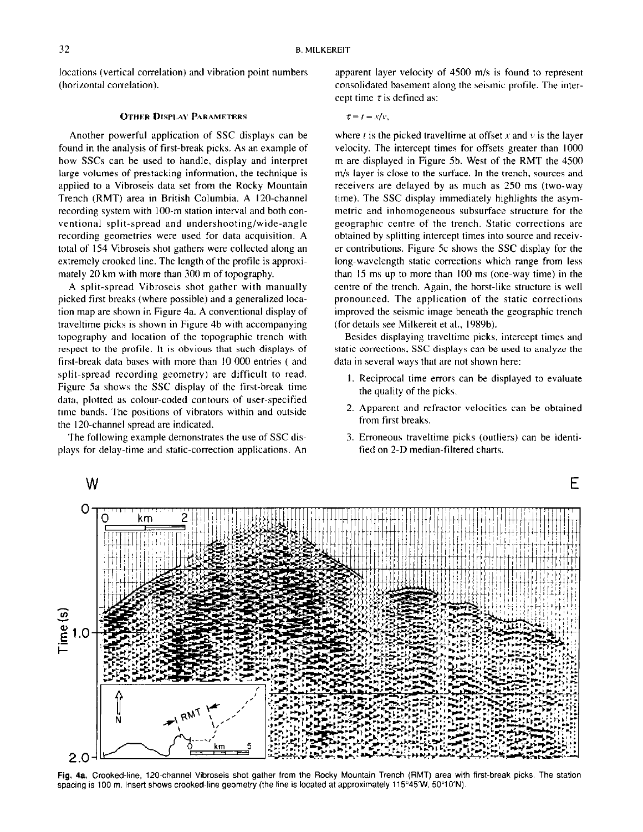locations (vertical correlation) and vibration point numbers (horizontal correlation).

### OTHER DISPLAY PARAMETERS

Another powerful application of SSC displays can be found in the analysis of first-break picks. As an example of how SSCs can be used to handle, display and interpret large volumes of prestacking information, the technique is applied to a Vibroseis data set from the Rocky Mountain Trench (RMT) area in British Columbia. A 120.channel recording system with 100-m station interval and both conventional split-spread and undershooting/wide-angle recording geometries were used for data acquisition. A total of I54 Vibroseis shot gathers were collected along an extremely crooked line. The length of the profile is approximately 20 km with more than 300 m of topography.

A split-spread Vibroseis shot gather with manually picked first breaks (where possible) and a generalized location map are shown in Figure 4a. A conventional display of traveltime picks is shown in Figure 4b with accompanying topography and location of the topographic trench with respect to the profile. It is obvious that such displays of first-break data bases with more than IO 000 entries ( and split-spread recording geometry) are difficult to read. Figure Sa shows the SSC display of the first-break time data, plotted as colour-coded contours of user-specified time bands. The positions of vibrators within and outside the 120.channel spread are indicated.

The following example demonstrates the use of SSC displays for delay-time and sfatic-correction applications. An apparent layer velocity of 4SoO m/s is found to represent consolidated basement along the seismic profile. The intercept time  $\tau$  is defined as:

 $\tau=t-x/v,$ 

where  $t$  is the picked traveltime at offset  $x$  and  $v$  is the layer velocity. The intercept times for offsets greater than 1000 m are displayed in Figure 5b. West of the RMT the 4500 m/s layer is close to the surface. In the trench, sources and receivers are delayed by as much as 250 ms (two-way time). The SSC display immediately highlights the asymmetric and inhomogeneous subsurface structure for the geographic centre of the trench. Static corrections are obtained by splitting intercept times into source and receiver contributions. Figure 5c shows the SSC display for the long-wavelength static corrections which range from less than  $15 \text{ ms}$  up to more than  $100 \text{ ms}$  (one-way time) in the centre of the trench. Again. the horst-like structure is well pronounced. The application of the static corrections improved the seismic image beneath the geographic trench (for details see Milkereit et al., 1989b).

Besides displaying traveltime picks, intercept times and static corrections, SSC displays can be used to analyze the data in several ways that are not shown here:

- I. Reciprocal time errors can be displayed to evaluate the quality of the picks.
- 2. Apparent and refractor velocities can be obtained from first breaks.
- 3. Erroneous traveltime picks (outlien) can be identified on 2-D median-filtered charts.



Fig. 48. Crooked-line, 120.channel Vibroseis shot gather from the Rocky Mountain Trench (RMT) area with first-break picks. The station spacing is 100 m. Insert shows crooked-line geometry (the line is located at approximately 115°45'W, 50°10'N).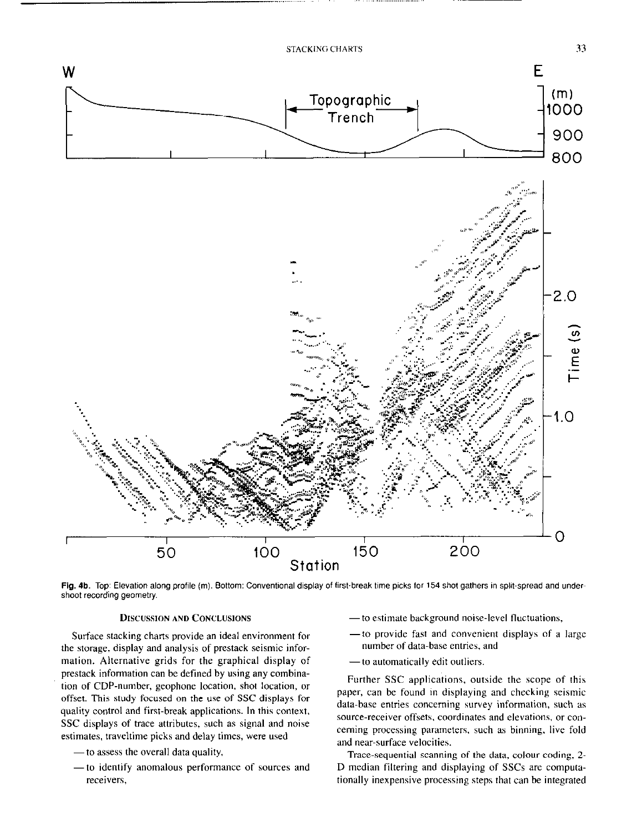

Fig. 4b. Top: Elevation along profile (m). Bottom: Conventional display of first-break time picks for 154 shot gathers in split-spread and undershoot recording geometry.

### DISCUSSION AND CONCLUSIONS

Surface stacking charts provide an ideal environment for the storage, display and analysis of prestack seismic information. Alternative grids for the graphical display of prestack information can be defined by using any combination of CDP-number, geophone location, shot location, or offset. This study focused on the use of SSC displays for quality control and first-break applications. In this context, SSC displays of trace attributes, such as signal and noise estimates, traveltime picks and delay times, were used

- to assess the overall data quality,
- to identify anomalous performance of sources and receivers,
- to estimate background noise-level fluctuations,
- to provide fast and convenient displays of a large number of data~base entries, and
- to automatically edit outliers.

Further SSC applications, outside the scope of this paper, can be found in displaying and checking seismic data-base entries concerning survey information. such as source-receiver offsets, coordinates and elevations, or conceming processing parameters. such as binning, live fold and near-surface velocities.

Trace-sequential scanning of the data, colour coding, 2. D median filtering and displaying of SSCs are computationally inexpensive processing steps that can be integrated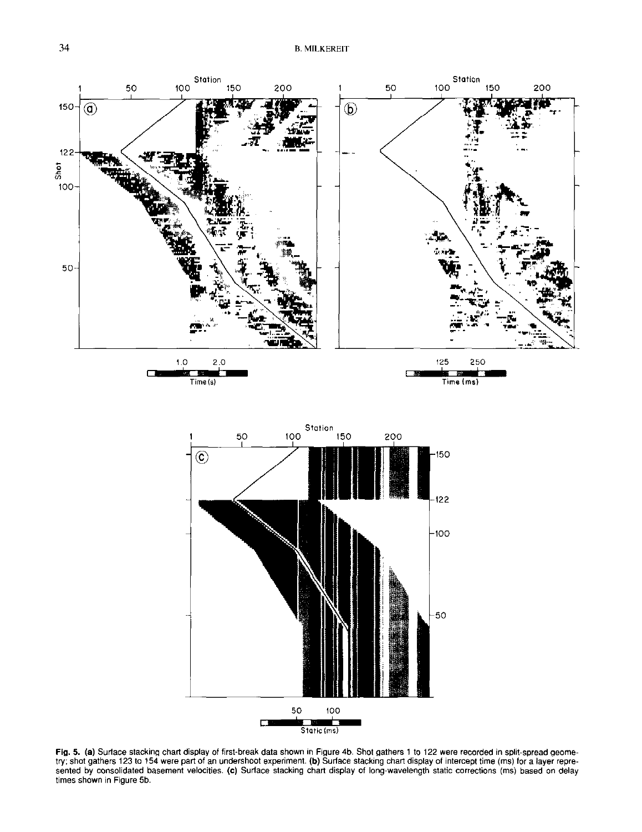

Fig. 5. (a) Surlace stacking chart display of first-break data shown in Figure 4b. Shot gathers 1 to 122 were recorded in split-spread geometry; shot gathers 123 to 154 were part of an undershoot experiment. (b) Surface stacking chart display of intercept time (ms) for a layer represented by consolidated basement velocities. (c) Surface stacking chart display of long-wavelength static corrections (ms) based on delay times shown in Figure 5b.